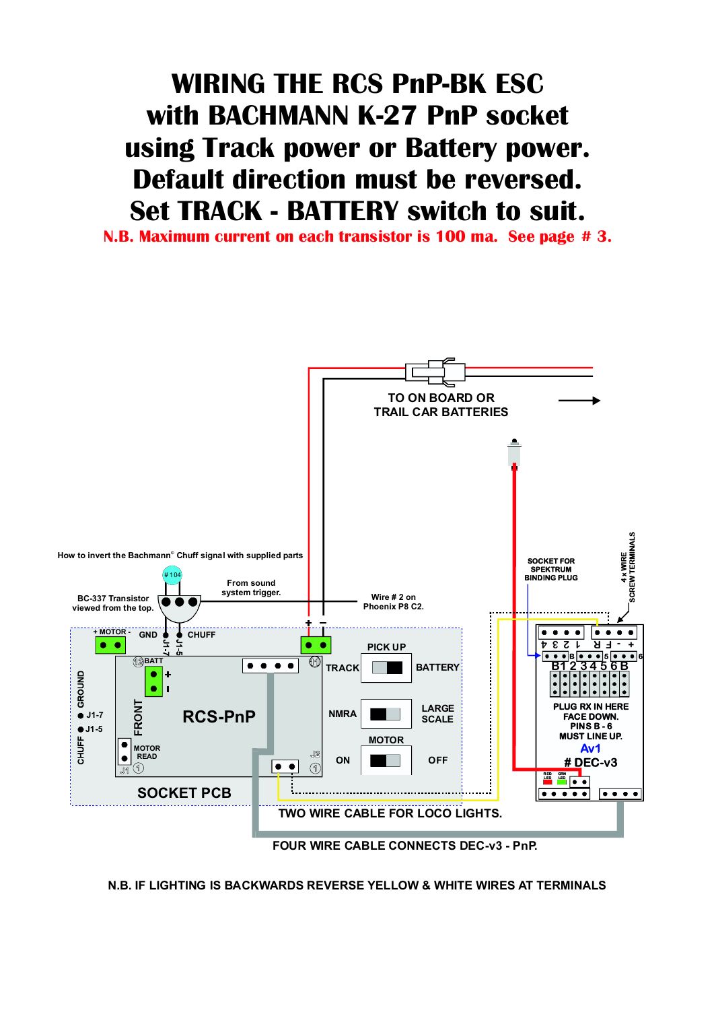## **WIRING THE RCS PnP-BK ESC with BACHMANN K-27 PnP socket using Track power or Battery power. Default direction must be reversed. Set TRACK - BATTERY switch to suit.**

**N.B. Maximum current on each transistor is 100 ma. See page # 3.**



**N.B. IF LIGHTING IS BACKWARDS REVERSE YELLOW & WHITE WIRES AT TERMINALS**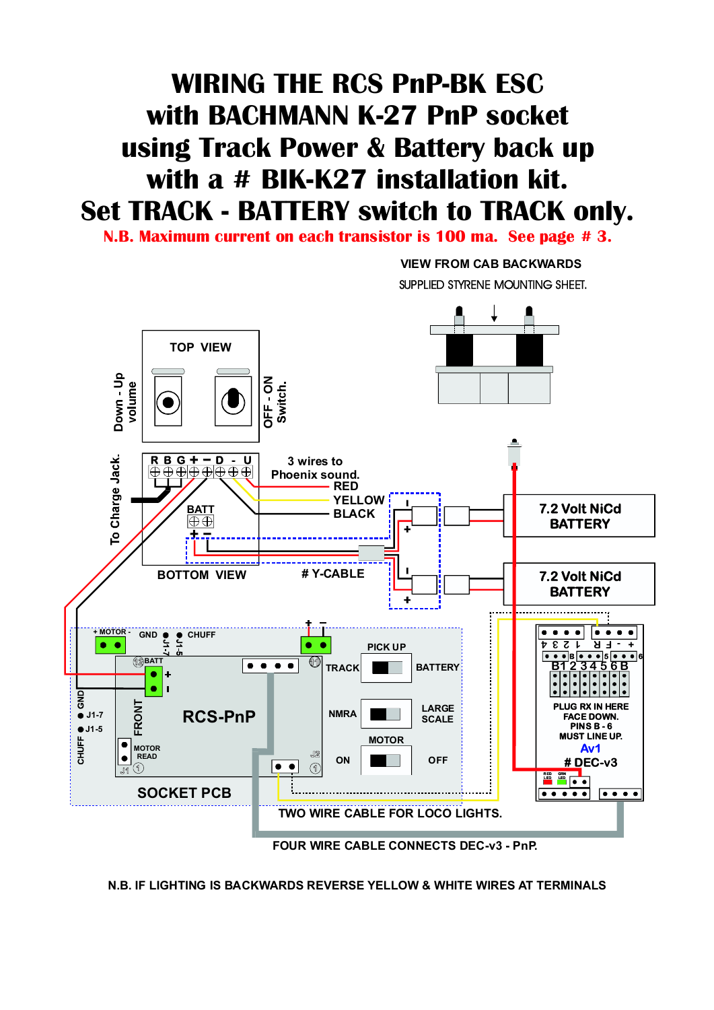## **WIRING THE RCS PnP-BK ESC with BACHMANN K-27 PnP socket using Track Power & Battery back up with a # BIK-K27 installation kit. Set TRACK - BATTERY switch to TRACK only.**

**N.B. Maximum current on each transistor is 100 ma. See page # 3.**

**VIEW FROM CAB BACKWARDS** SUPPLIED STYRENE MOUNTING SHEET.



**N.B. IF LIGHTING IS BACKWARDS REVERSE YELLOW & WHITE WIRES AT TERMINALS**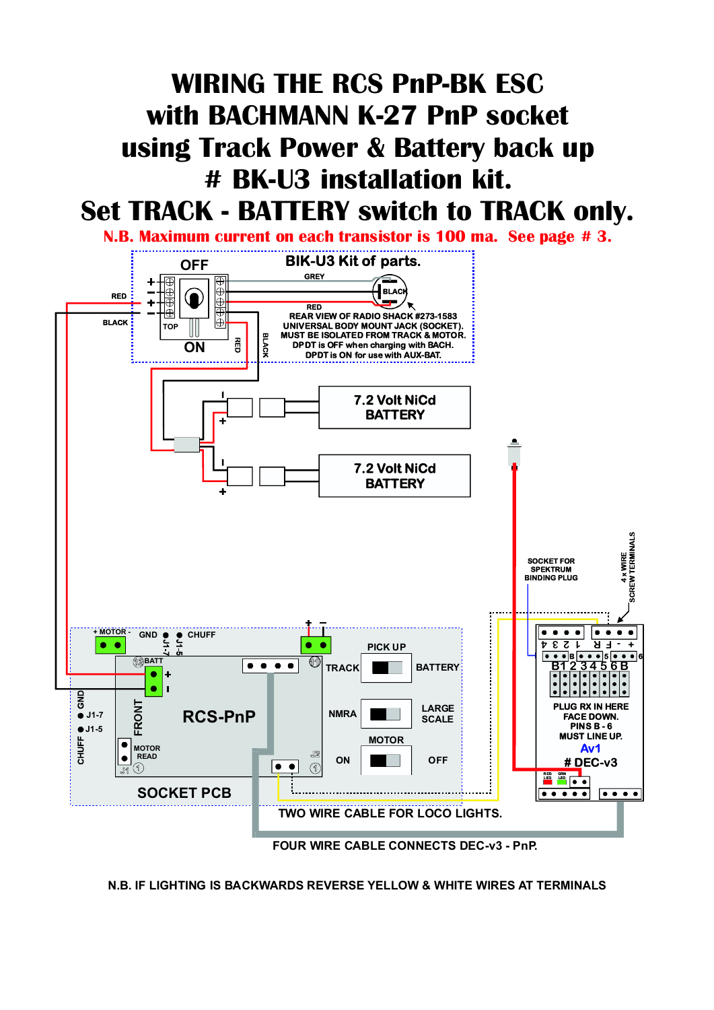## **WIRING THE RCS PnP-BK ESC with BACHMANN K-27 PnP socket using Track Power & Battery back up # BK-U3 installation kit. Set TRACK - BATTERY switch to TRACK only.**





**N.B. IF LIGHTING IS BACKWARDS REVERSE YELLOW & WHITE WIRES AT TERMINALS**